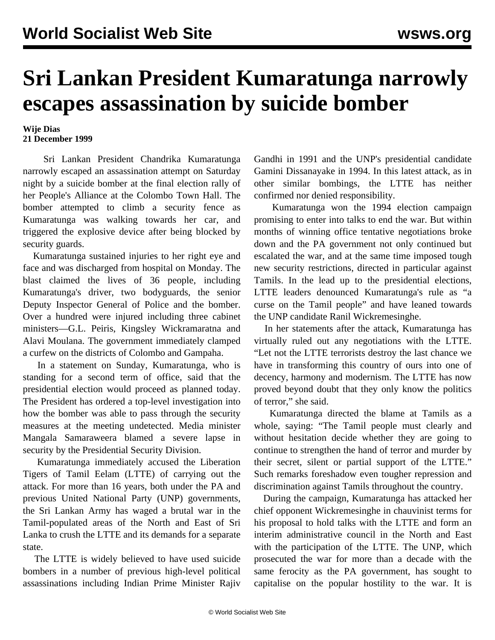## **Sri Lankan President Kumaratunga narrowly escapes assassination by suicide bomber**

## **Wije Dias 21 December 1999**

 Sri Lankan President Chandrika Kumaratunga narrowly escaped an assassination attempt on Saturday night by a suicide bomber at the final election rally of her People's Alliance at the Colombo Town Hall. The bomber attempted to climb a security fence as Kumaratunga was walking towards her car, and triggered the explosive device after being blocked by security guards.

 Kumaratunga sustained injuries to her right eye and face and was discharged from hospital on Monday. The blast claimed the lives of 36 people, including Kumaratunga's driver, two bodyguards, the senior Deputy Inspector General of Police and the bomber. Over a hundred were injured including three cabinet ministers—G.L. Peiris, Kingsley Wickramaratna and Alavi Moulana. The government immediately clamped a curfew on the districts of Colombo and Gampaha.

 In a statement on Sunday, Kumaratunga, who is standing for a second term of office, said that the presidential election would proceed as planned today. The President has ordered a top-level investigation into how the bomber was able to pass through the security measures at the meeting undetected. Media minister Mangala Samaraweera blamed a severe lapse in security by the Presidential Security Division.

 Kumaratunga immediately accused the Liberation Tigers of Tamil Eelam (LTTE) of carrying out the attack. For more than 16 years, both under the PA and previous United National Party (UNP) governments, the Sri Lankan Army has waged a brutal war in the Tamil-populated areas of the North and East of Sri Lanka to crush the LTTE and its demands for a separate state.

 The LTTE is widely believed to have used suicide bombers in a number of previous high-level political assassinations including Indian Prime Minister Rajiv Gandhi in 1991 and the UNP's presidential candidate Gamini Dissanayake in 1994. In this latest attack, as in other similar bombings, the LTTE has neither confirmed nor denied responsibility.

 Kumaratunga won the 1994 election campaign promising to enter into talks to end the war. But within months of winning office tentative negotiations broke down and the PA government not only continued but escalated the war, and at the same time imposed tough new security restrictions, directed in particular against Tamils. In the lead up to the presidential elections, LTTE leaders denounced Kumaratunga's rule as "a curse on the Tamil people" and have leaned towards the UNP candidate Ranil Wickremesinghe.

 In her statements after the attack, Kumaratunga has virtually ruled out any negotiations with the LTTE. "Let not the LTTE terrorists destroy the last chance we have in transforming this country of ours into one of decency, harmony and modernism. The LTTE has now proved beyond doubt that they only know the politics of terror," she said.

 Kumaratunga directed the blame at Tamils as a whole, saying: "The Tamil people must clearly and without hesitation decide whether they are going to continue to strengthen the hand of terror and murder by their secret, silent or partial support of the LTTE." Such remarks foreshadow even tougher repression and discrimination against Tamils throughout the country.

 During the campaign, Kumaratunga has attacked her chief opponent Wickremesinghe in chauvinist terms for his proposal to hold talks with the LTTE and form an interim administrative council in the North and East with the participation of the LTTE. The UNP, which prosecuted the war for more than a decade with the same ferocity as the PA government, has sought to capitalise on the popular hostility to the war. It is